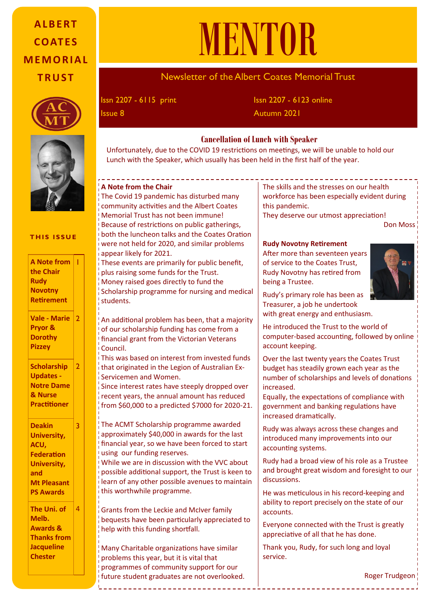# **A L B E R T C O AT E S M E M O R I A L T R U S T**





#### **THIS ISSUE**

1

 $\overline{2}$ 

2

3

| <b>A</b> Note from |
|--------------------|
| the Chair          |
| <b>Rudy</b>        |
| <b>Novotny</b>     |
| <b>Retirement</b>  |
|                    |

**Vale - Marie Pryor & Dorothy Pizzey**

**Scholarship Updates - Notre Dame & Nurse Practitioner**

**Deakin University, ACU, Federation University, and Mt Pleasant PS Awards**

**The Uni. of Melb. Awards & Thanks from Jacqueline Chester**  4

# MENTOR

# Newsletter of the Albert Coates Memorial Trust

Issn 2207 - 6115 print

Issn 2207 - 6123 online **Issue 8** Autumn 2021

## **Cancellation of Lunch with Speaker**

Unfortunately, due to the COVID 19 restrictions on meetings, we will be unable to hold our Lunch with the Speaker, which usually has been held in the first half of the year.

#### **A Note from the Chair**

The Covid 19 pandemic has disturbed many community activities and the Albert Coates Memorial Trust has not been immune! Because of restrictions on public gatherings, both the luncheon talks and the Coates Oration were not held for 2020, and similar problems  $\overline{a}$  appear likely for 2021.

These events are primarily for public benefit, plus raising some funds for the Trust. Money raised goes directly to fund the Scholarship programme for nursing and medical students.

An additional problem has been, that a majority of our scholarship funding has come from a financial grant from the Victorian Veterans Council.

This was based on interest from invested funds that originated in the Legion of Australian Ex-Servicemen and Women.

Since interest rates have steeply dropped over recent years, the annual amount has reduced  $\frac{1}{2}$  from \$60,000 to a predicted \$7000 for 2020-21.

The ACMT Scholarship programme awarded approximately \$40,000 in awards for the last financial year, so we have been forced to start using our funding reserves.

While we are in discussion with the VVC about possible additional support, the Trust is keen to learn of any other possible avenues to maintain this worthwhile programme.

bequests have been particularly appreciated to  $\left| \begin{array}{c} \text{arccous.} \\ \text{arccous.} \end{array} \right|$ Presentation Grants from the Leckie and McIver family help with this funding shortfall.

programmes of community support for our programmes of community support for our future student graduates are not overlooked. Many Charitable organizations have similar problems this year, but it is vital that

The skills and the stresses on our health workforce has been especially evident during this pandemic.

They deserve our utmost appreciation!

Don Moss

#### **Rudy Novotny Retirement**

After more than seventeen years of service to the Coates Trust, Rudy Novotny has retired from being a Trustee.



Rudy's primary role has been as Treasurer, a job he undertook with great energy and enthusiasm.

He introduced the Trust to the world of computer-based accounting, followed by online account keeping.

Over the last twenty years the Coates Trust budget has steadily grown each year as the number of scholarships and levels of donations increased.

Equally, the expectations of compliance with government and banking regulations have increased dramatically.

Rudy was always across these changes and introduced many improvements into our accounting systems.

France Coates Albert 2020 Coates Commission as a Trasted Her Excellence as a Trasted as a Trasted as a Trasted Music contract as a Trasted Music contract as a Trasted Music contract as a Trasted Music contract as a Trasted  $m$ aintain discussions. Rudy had a broad view of his role as a Trustee

 $\vert$  He was meticulous in his record-keeping and Anthony Howard with the record Reeping and  $n$ ily accounts.

 $\mathbb{R}$  Everyone connected with the Trust is greatly appreciative of all that he has done.

 $\begin{array}{r} \n\text{Trium } \text{y} \text{c} \text{y} \text{m} \text{c} \text{d} \text{y} \text{d} \text{y} \text{d} \text{y} \text{d} \text{y} \text{d} \text{y} \text{d} \text{y} \text{d} \text{y} \text{d} \text{y} \text{d} \text{y} \text{d} \text{y} \text{d} \text{y} \text{d} \text{y} \text{d} \text{y} \text{d} \text{y} \text{d} \text{y} \text{d} \text{y} \text{d} \text{y} \text{d} \text{y}$  $\overline{\phantom{a}}$  between Thank you, Rudy, for such long and loyal

Roger Trudgeon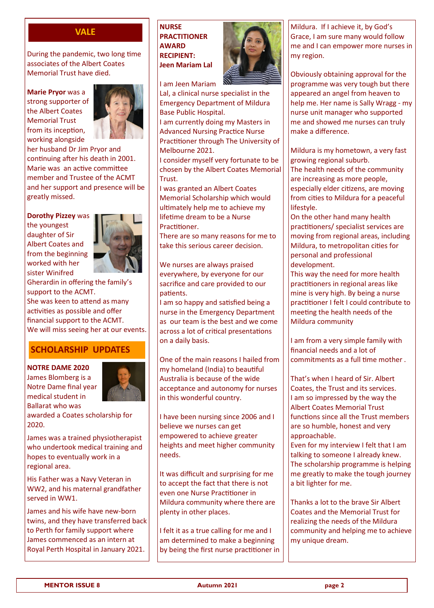During the pandemic, two long time associates of the Albert Coates Memorial Trust have died.

**Marie Pryor** was a strong supporter of the Albert Coates Memorial Trust from its inception, working alongside



her husband Dr Jim Pryor and continuing after his death in 2001. Marie was an active committee member and Trustee of the ACMT and her support and presence will be greatly missed.

**Dorothy Pizzey** was

the youngest daughter of Sir Albert Coates and from the beginning worked with her sister Winifred



Gherardin in offering the family's support to the ACMT. She was keen to attend as many activities as possible and offer financial support to the ACMT. We will miss seeing her at our events.

# **SCHOLARSHIP UPDATES**

**NOTRE DAME 2020** James Blomberg is a Notre Dame final year medical student in



Ballarat who was awarded a Coates scholarship for 2020.

James was a trained physiotherapist who undertook medical training and hopes to eventually work in a regional area.

His Father was a Navy Veteran in WW2, and his maternal grandfather served in WW1.

James and his wife have new-born twins, and they have transferred back to Perth for family support where James commenced as an intern at Royal Perth Hospital in January 2021.

**VALE** NURSE **PRACTITIONER AWARD RECIPIENT: Jeen Mariam Lal**



I am Jeen Mariam

Lal, a clinical nurse specialist in the Emergency Department of Mildura Base Public Hospital.

I am currently doing my Masters in Advanced Nursing Practice Nurse Practitioner through The University of Melbourne 2021.

I consider myself very fortunate to be chosen by the Albert Coates Memorial Trust.

I was granted an Albert Coates Memorial Scholarship which would ultimately help me to achieve my lifetime dream to be a Nurse Practitioner.

There are so many reasons for me to take this serious career decision.

We nurses are always praised everywhere, by everyone for our sacrifice and care provided to our patients.

I am so happy and satisfied being a nurse in the Emergency Department as our team is the best and we come across a lot of critical presentations on a daily basis.

One of the main reasons I hailed from my homeland (India) to beautiful Australia is because of the wide acceptance and autonomy for nurses in this wonderful country.

I have been nursing since 2006 and I believe we nurses can get empowered to achieve greater heights and meet higher community needs.

It was difficult and surprising for me to accept the fact that there is not even one Nurse Practitioner in Mildura community where there are plenty in other places.

I felt it as a true calling for me and I am determined to make a beginning by being the first nurse practitioner in Mildura. If I achieve it, by God's Grace, I am sure many would follow me and I can empower more nurses in my region.

Obviously obtaining approval for the programme was very tough but there appeared an angel from heaven to help me. Her name is Sally Wragg - my nurse unit manager who supported me and showed me nurses can truly make a difference.

Mildura is my hometown, a very fast growing regional suburb.

The health needs of the community are increasing as more people, especially elder citizens, are moving from cities to Mildura for a peaceful lifestyle.

On the other hand many health practitioners/ specialist services are moving from regional areas, including Mildura, to metropolitan cities for personal and professional development.

This way the need for more health practitioners in regional areas like mine is very high. By being a nurse practitioner I felt I could contribute to meeting the health needs of the Mildura community

I am from a very simple family with financial needs and a lot of commitments as a full time mother .

That's when I heard of Sir. Albert Coates, the Trust and its services. I am so impressed by the way the Albert Coates Memorial Trust functions since all the Trust members are so humble, honest and very approachable.

Even for my interview I felt that I am talking to someone I already knew. The scholarship programme is helping me greatly to make the tough journey a bit lighter for me.

Thanks a lot to the brave Sir Albert Coates and the Memorial Trust for realizing the needs of the Mildura community and helping me to achieve my unique dream.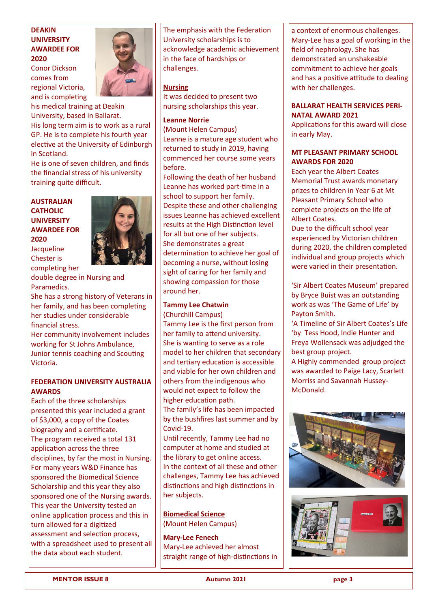### **DEAKIN UNIVERSITY AWARDEE FOR 2020**

Conor Dickson comes from regional Victoria, and is completing



his medical training at Deakin University, based in Ballarat. His long term aim is to work as a rural GP. He is to complete his fourth year elective at the University of Edinburgh in Scotland.

He is one of seven children, and finds the financial stress of his university training quite difficult.

#### **AUSTRALIAN CATHOLIC UNIVERSITY AWARDEE FOR 2020**  Jacqueline

Chester is



completing her double degree in Nursing and Paramedics.

She has a strong history of Veterans in her family, and has been completing her studies under considerable financial stress.

Her community involvement includes working for St Johns Ambulance, Junior tennis coaching and Scouting Victoria.

#### **FEDERATION UNIVERSITY AUSTRALIA AWARDS**

Each of the three scholarships presented this year included a grant of \$3,000, a copy of the Coates biography and a certificate. The program received a total 131 application across the three disciplines, by far the most in Nursing. For many years W&D Finance has sponsored the Biomedical Science Scholarship and this year they also sponsored one of the Nursing awards. This year the University tested an online application process and this in turn allowed for a digitized assessment and selection process, with a spreadsheet used to present all the data about each student.

The emphasis with the Federation University scholarships is to acknowledge academic achievement in the face of hardships or challenges.

#### **Nursing**

It was decided to present two nursing scholarships this year.

#### **Leanne Norrie**

(Mount Helen Campus) Leanne is a mature age student who returned to study in 2019, having commenced her course some years before.

Following the death of her husband Leanne has worked part-time in a school to support her family. Despite these and other challenging issues Leanne has achieved excellent results at the High Distinction level for all but one of her subjects. She demonstrates a great determination to achieve her goal of becoming a nurse, without losing sight of caring for her family and showing compassion for those around her.

#### **Tammy Lee Chatwin**

(Churchill Campus)

Tammy Lee is the first person from her family to attend university. She is wanting to serve as a role model to her children that secondary and tertiary education is accessible and viable for her own children and others from the indigenous who would not expect to follow the higher education path.

The family's life has been impacted by the bushfires last summer and by Covid-19.

Until recently, Tammy Lee had no computer at home and studied at the library to get online access. In the context of all these and other challenges, Tammy Lee has achieved distinctions and high distinctions in her subjects.

**Biomedical Science**  (Mount Helen Campus)

**Mary-Lee Fenech** Mary-Lee achieved her almost straight range of high-distinctions in

a context of enormous challenges. Mary-Lee has a goal of working in the field of nephrology. She has demonstrated an unshakeable commitment to achieve her goals and has a positive attitude to dealing with her challenges.

#### **BALLARAT HEALTH SERVICES PERI-NATAL AWARD 2021**

Applications for this award will close in early May.

#### **MT PLEASANT PRIMARY SCHOOL AWARDS FOR 2020**

Each year the Albert Coates Memorial Trust awards monetary prizes to children in Year 6 at Mt Pleasant Primary School who complete projects on the life of Albert Coates.

Due to the difficult school year experienced by Victorian children during 2020, the children completed individual and group projects which were varied in their presentation.

'Sir Albert Coates Museum' prepared by Bryce Buist was an outstanding work as was 'The Game of Life' by Payton Smith.

'A Timeline of Sir Albert Coates's Life 'by Tess Hood, Indie Hunter and Freya Wollensack was adjudged the best group project.

A Highly commended group project was awarded to Paige Lacy, Scarlett Morriss and Savannah Hussey-McDonald.